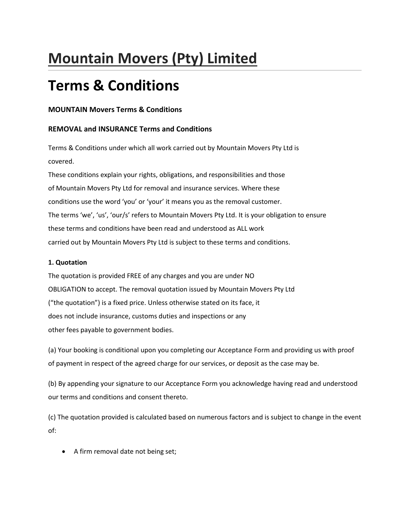# **Mountain Movers (Pty) Limited**

## **Terms & Conditions**

## **MOUNTAIN Movers Terms & Conditions**

## **REMOVAL and INSURANCE Terms and Conditions**

Terms & Conditions under which all work carried out by Mountain Movers Pty Ltd is covered.

These conditions explain your rights, obligations, and responsibilities and those of Mountain Movers Pty Ltd for removal and insurance services. Where these conditions use the word 'you' or 'your' it means you as the removal customer. The terms 'we', 'us', 'our/s' refers to Mountain Movers Pty Ltd. It is your obligation to ensure these terms and conditions have been read and understood as ALL work carried out by Mountain Movers Pty Ltd is subject to these terms and conditions.

#### **1. Quotation**

The quotation is provided FREE of any charges and you are under NO OBLIGATION to accept. The removal quotation issued by Mountain Movers Pty Ltd ("the quotation") is a fixed price. Unless otherwise stated on its face, it does not include insurance, customs duties and inspections or any other fees payable to government bodies.

(a) Your booking is conditional upon you completing our Acceptance Form and providing us with proof of payment in respect of the agreed charge for our services, or deposit as the case may be.

(b) By appending your signature to our Acceptance Form you acknowledge having read and understood our terms and conditions and consent thereto.

(c) The quotation provided is calculated based on numerous factors and is subject to change in the event of:

• A firm removal date not being set;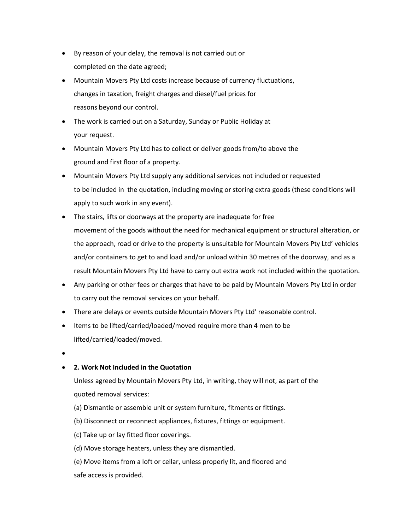- By reason of your delay, the removal is not carried out or completed on the date agreed;
- Mountain Movers Pty Ltd costs increase because of currency fluctuations, changes in taxation, freight charges and diesel/fuel prices for reasons beyond our control.
- The work is carried out on a Saturday, Sunday or Public Holiday at your request.
- Mountain Movers Pty Ltd has to collect or deliver goods from/to above the ground and first floor of a property.
- Mountain Movers Pty Ltd supply any additional services not included or requested to be included in the quotation, including moving or storing extra goods (these conditions will apply to such work in any event).
- The stairs, lifts or doorways at the property are inadequate for free movement of the goods without the need for mechanical equipment or structural alteration, or the approach, road or drive to the property is unsuitable for Mountain Movers Pty Ltd' vehicles and/or containers to get to and load and/or unload within 30 metres of the doorway, and as a result Mountain Movers Pty Ltd have to carry out extra work not included within the quotation.
- Any parking or other fees or charges that have to be paid by Mountain Movers Pty Ltd in order to carry out the removal services on your behalf.
- There are delays or events outside Mountain Movers Pty Ltd' reasonable control.
- Items to be lifted/carried/loaded/moved require more than 4 men to be lifted/carried/loaded/moved.
- $\bullet$

## **2. Work Not Included in the Quotation**

Unless agreed by Mountain Movers Pty Ltd, in writing, they will not, as part of the quoted removal services:

- (a) Dismantle or assemble unit or system furniture, fitments or fittings.
- (b) Disconnect or reconnect appliances, fixtures, fittings or equipment.
- (c) Take up or lay fitted floor coverings.
- (d) Move storage heaters, unless they are dismantled.
- (e) Move items from a loft or cellar, unless properly lit, and floored and safe access is provided.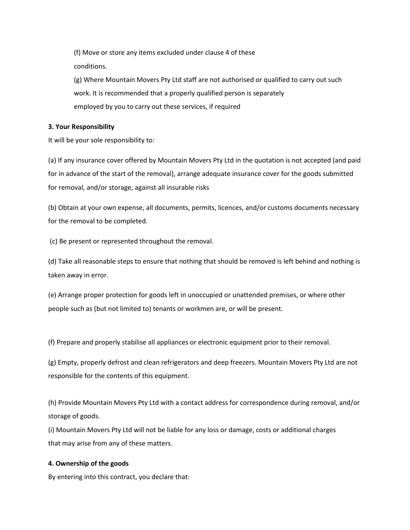(f) Move or store any items excluded under clause 4 of these conditions.

(g) Where Mountain Movers Pty Ltd staff are not authorised or qualified to carry out such work. It is recommended that a properly qualified person is separately employed by you to carry out these services, if required

#### **3. Your Responsibility**

It will be your sole responsibility to:

(a) If any insurance cover offered by Mountain Movers Pty Ltd in the quotation is not accepted (and paid for in advance of the start of the removal), arrange adequate insurance cover for the goods submitted for removal, and/or storage, against all insurable risks

(b) Obtain at your own expense, all documents, permits, licences, and/or customs documents necessary for the removal to be completed.

(c) Be present or represented throughout the removal.

(d) Take all reasonable steps to ensure that nothing that should be removed is left behind and nothing is taken away in error.

(e) Arrange proper protection for goods left in unoccupied or unattended premises, or where other people such as (but not limited to) tenants or workmen are, or will be present.

(f) Prepare and properly stabilise all appliances or electronic equipment prior to their removal.

(g) Empty, properly defrost and clean refrigerators and deep freezers. Mountain Movers Pty Ltd are not responsible for the contents of this equipment.

(h) Provide Mountain Movers Pty Ltd with a contact address for correspondence during removal, and/or storage of goods.

(i) Mountain Movers Pty Ltd will not be liable for any loss or damage, costs or additional charges that may arise from any of these matters.

## **4. Ownership of the goods**

By entering into this contract, you declare that: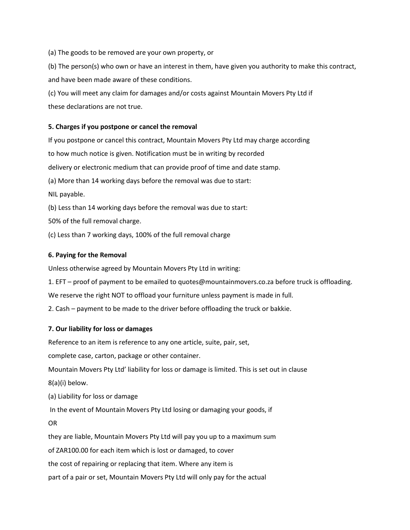(a) The goods to be removed are your own property, or

(b) The person(s) who own or have an interest in them, have given you authority to make this contract, and have been made aware of these conditions.

(c) You will meet any claim for damages and/or costs against Mountain Movers Pty Ltd if these declarations are not true.

#### **5. Charges if you postpone or cancel the removal**

If you postpone or cancel this contract, Mountain Movers Pty Ltd may charge according to how much notice is given. Notification must be in writing by recorded delivery or electronic medium that can provide proof of time and date stamp. (a) More than 14 working days before the removal was due to start: NIL payable. (b) Less than 14 working days before the removal was due to start:

50% of the full removal charge.

(c) Less than 7 working days, 100% of the full removal charge

#### **6. Paying for the Removal**

Unless otherwise agreed by Mountain Movers Pty Ltd in writing:

1. EFT – proof of payment to be emailed to quotes@mountainmovers.co.za before truck is offloading.

We reserve the right NOT to offload your furniture unless payment is made in full.

2. Cash – payment to be made to the driver before offloading the truck or bakkie.

#### **7. Our liability for loss or damages**

Reference to an item is reference to any one article, suite, pair, set,

complete case, carton, package or other container.

Mountain Movers Pty Ltd' liability for loss or damage is limited. This is set out in clause 8(a)(i) below.

(a) Liability for loss or damage

In the event of Mountain Movers Pty Ltd losing or damaging your goods, if

OR

they are liable, Mountain Movers Pty Ltd will pay you up to a maximum sum

of ZAR100.00 for each item which is lost or damaged, to cover

the cost of repairing or replacing that item. Where any item is

part of a pair or set, Mountain Movers Pty Ltd will only pay for the actual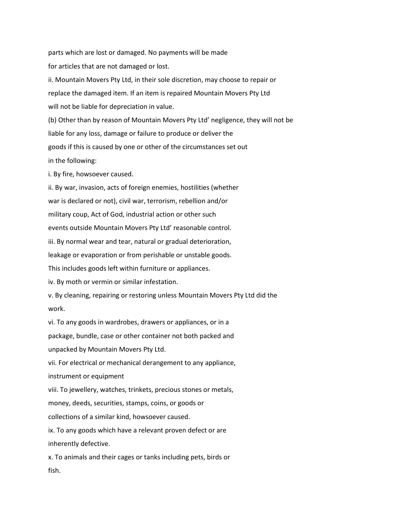parts which are lost or damaged. No payments will be made for articles that are not damaged or lost. ii. Mountain Movers Pty Ltd, in their sole discretion, may choose to repair or replace the damaged item. If an item is repaired Mountain Movers Pty Ltd will not be liable for depreciation in value. (b) Other than by reason of Mountain Movers Pty Ltd' negligence, they will not be liable for any loss, damage or failure to produce or deliver the goods if this is caused by one or other of the circumstances set out in the following: i. By fire, howsoever caused.

ii. By war, invasion, acts of foreign enemies, hostilities (whether war is declared or not), civil war, terrorism, rebellion and/or military coup, Act of God, industrial action or other such events outside Mountain Movers Pty Ltd' reasonable control. iii. By normal wear and tear, natural or gradual deterioration, leakage or evaporation or from perishable or unstable goods. This includes goods left within furniture or appliances. iv. By moth or vermin or similar infestation. v. By cleaning, repairing or restoring unless Mountain Movers Pty Ltd did the work. vi. To any goods in wardrobes, drawers or appliances, or in a package, bundle, case or other container not both packed and unpacked by Mountain Movers Pty Ltd.

vii. For electrical or mechanical derangement to any appliance, instrument or equipment

viii. To jewellery, watches, trinkets, precious stones or metals,

money, deeds, securities, stamps, coins, or goods or

collections of a similar kind, howsoever caused.

ix. To any goods which have a relevant proven defect or are inherently defective.

x. To animals and their cages or tanks including pets, birds or fish.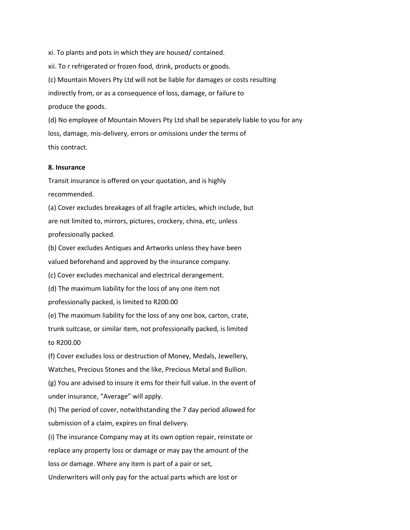xi. To plants and pots in which they are housed/ contained. xii. To r refrigerated or frozen food, drink, products or goods. (c) Mountain Movers Pty Ltd will not be liable for damages or costs resulting indirectly from, or as a consequence of loss, damage, or failure to produce the goods. (d) No employee of Mountain Movers Pty Ltd shall be separately liable to you for any

loss, damage, mis-delivery, errors or omissions under the terms of this contract.

#### **8. Insurance**

Transit insurance is offered on your quotation, and is highly recommended.

(a) Cover excludes breakages of all fragile articles, which include, but are not limited to, mirrors, pictures, crockery, china, etc, unless professionally packed.

(b) Cover excludes Antiques and Artworks unless they have been valued beforehand and approved by the insurance company.

(c) Cover excludes mechanical and electrical derangement.

(d) The maximum liability for the loss of any one item not

professionally packed, is limited to R200.00

(e) The maximum liability for the loss of any one box, carton, crate,

trunk suitcase, or similar item, not professionally packed, is limited

to R200.00

(f) Cover excludes loss or destruction of Money, Medals, Jewellery, Watches, Precious Stones and the like, Precious Metal and Bullion.

(g) You are advised to insure it ems for their full value. In the event of under insurance, "Average" will apply.

(h) The period of cover, notwithstanding the 7 day period allowed for submission of a claim, expires on final delivery.

(i) The insurance Company may at its own option repair, reinstate or replace any property loss or damage or may pay the amount of the loss or damage. Where any item is part of a pair or set, Underwriters will only pay for the actual parts which are lost or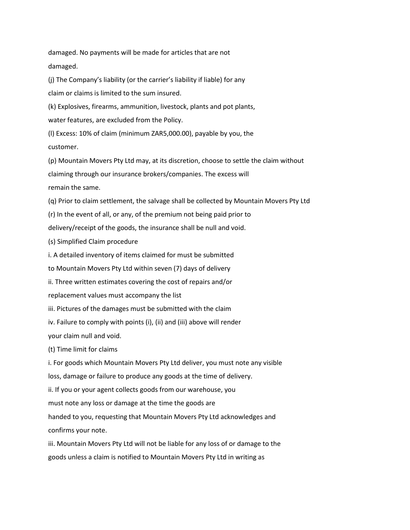damaged. No payments will be made for articles that are not damaged.

(j) The Company's liability (or the carrier's liability if liable) for any claim or claims is limited to the sum insured.

(k) Explosives, firearms, ammunition, livestock, plants and pot plants, water features, are excluded from the Policy.

(l) Excess: 10% of claim (minimum ZAR5,000.00), payable by you, the customer.

(p) Mountain Movers Pty Ltd may, at its discretion, choose to settle the claim without claiming through our insurance brokers/companies. The excess will remain the same.

(q) Prior to claim settlement, the salvage shall be collected by Mountain Movers Pty Ltd

(r) In the event of all, or any, of the premium not being paid prior to

delivery/receipt of the goods, the insurance shall be null and void.

(s) Simplified Claim procedure

i. A detailed inventory of items claimed for must be submitted

to Mountain Movers Pty Ltd within seven (7) days of delivery

ii. Three written estimates covering the cost of repairs and/or

replacement values must accompany the list

iii. Pictures of the damages must be submitted with the claim

iv. Failure to comply with points (i), (ii) and (iii) above will render

your claim null and void.

(t) Time limit for claims

i. For goods which Mountain Movers Pty Ltd deliver, you must note any visible

loss, damage or failure to produce any goods at the time of delivery.

ii. If you or your agent collects goods from our warehouse, you

must note any loss or damage at the time the goods are

handed to you, requesting that Mountain Movers Pty Ltd acknowledges and confirms your note.

iii. Mountain Movers Pty Ltd will not be liable for any loss of or damage to the goods unless a claim is notified to Mountain Movers Pty Ltd in writing as